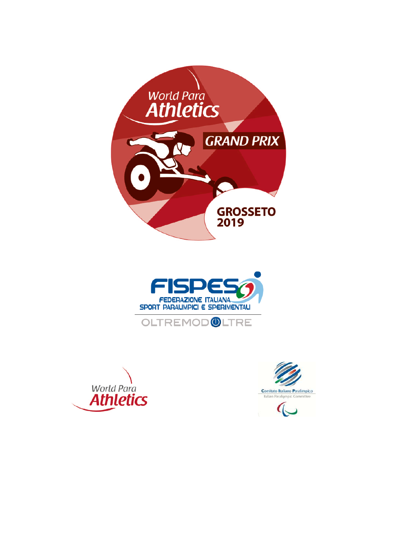







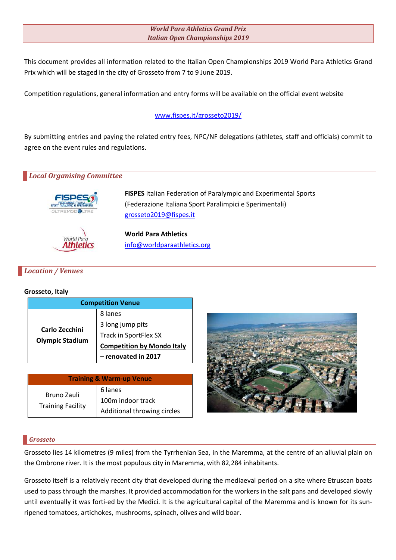### *World Para Athletics Grand Prix Italian Open Championships 2019*

This document provides all information related to the Italian Open Championships 2019 World Para Athletics Grand Prix which will be staged in the city of Grosseto from 7 to 9 June 2019.

Competition regulations, general information and entry forms will be available on the official event website

## www.fispes.it/grosseto2019/

By submitting entries and paying the related entry fees, NPC/NF delegations (athletes, staff and officials) commit to agree on the event rules and regulations.

# *Local Organising Committee* **FISPES** Italian Federation of Paralympic and Experimental Sports (Federazione Italiana Sport Paralimpici e Sperimentali) grosseto2019@fispes.it **World Para Athletics** World Pare info@worldparaathletics.org Athletics

## *Location / Venues*

### **Grosseto, Italy**

| <b>Competition Venue</b>                 |                                   |  |
|------------------------------------------|-----------------------------------|--|
| Carlo Zecchini<br><b>Olympic Stadium</b> | 8 lanes                           |  |
|                                          | 3 long jump pits                  |  |
|                                          | Track in SportFlex SX             |  |
|                                          | <b>Competition by Mondo Italy</b> |  |
|                                          | renovated in 2017                 |  |

| <b>Training &amp; Warm-up Venue</b>     |                             |  |
|-----------------------------------------|-----------------------------|--|
| Bruno Zauli<br><b>Training Facility</b> | 6 lanes                     |  |
|                                         | 100m indoor track           |  |
|                                         | Additional throwing circles |  |



### *Grosseto*

Grosseto lies 14 kilometres (9 miles) from the Tyrrhenian Sea, in the Maremma, at the centre of an alluvial plain on the Ombrone river. It is the most populous city in Maremma, with 82,284 inhabitants.

Grosseto itself is a relatively recent city that developed during the mediaeval period on a site where Etruscan boats used to pass through the marshes. It provided accommodation for the workers in the salt pans and developed slowly until eventually it was forti-ed by the Medici. It is the agricultural capital of the Maremma and is known for its sunripened tomatoes, artichokes, mushrooms, spinach, olives and wild boar.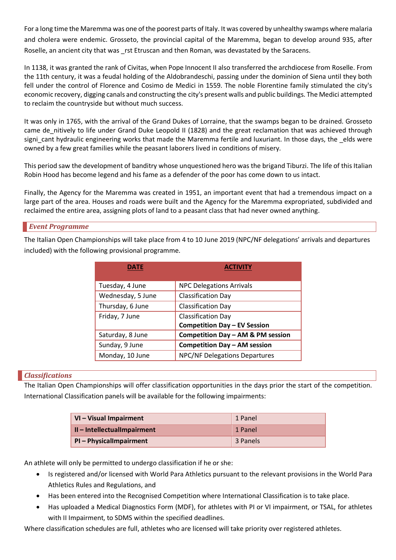For a long time the Maremma was one of the poorest parts of Italy. It was covered by unhealthy swamps where malaria and cholera were endemic. Grosseto, the provincial capital of the Maremma, began to develop around 935, after Roselle, an ancient city that was \_rst Etruscan and then Roman, was devastated by the Saracens.

In 1138, it was granted the rank of Civitas, when Pope Innocent II also transferred the archdiocese from Roselle. From the 11th century, it was a feudal holding of the Aldobrandeschi, passing under the dominion of Siena until they both fell under the control of Florence and Cosimo de Medici in 1559. The noble Florentine family stimulated the city's economic recovery, digging canals and constructing the city's present walls and public buildings. The Medici attempted to reclaim the countryside but without much success.

It was only in 1765, with the arrival of the Grand Dukes of Lorraine, that the swamps began to be drained. Grosseto came de nitively to life under Grand Duke Leopold II (1828) and the great reclamation that was achieved through signi\_cant hydraulic engineering works that made the Maremma fertile and luxuriant. In those days, the \_elds were owned by a few great families while the peasant laborers lived in conditions of misery.

This period saw the development of banditry whose unquestioned hero was the brigand Tiburzi. The life of this Italian Robin Hood has become legend and his fame as a defender of the poor has come down to us intact.

Finally, the Agency for the Maremma was created in 1951, an important event that had a tremendous impact on a large part of the area. Houses and roads were built and the Agency for the Maremma expropriated, subdivided and reclaimed the entire area, assigning plots of land to a peasant class that had never owned anything.

### *Event Programme*

The Italian Open Championships will take place from 4 to 10 June 2019 (NPC/NF delegations' arrivals and departures included) with the following provisional programme.

| DATE              | <b>ACTIVITY</b>                      |
|-------------------|--------------------------------------|
| Tuesday, 4 June   | <b>NPC Delegations Arrivals</b>      |
| Wednesday, 5 June | <b>Classification Day</b>            |
| Thursday, 6 June  | <b>Classification Day</b>            |
| Friday, 7 June    | <b>Classification Day</b>            |
|                   | <b>Competition Day - EV Session</b>  |
| Saturday, 8 June  | Competition Day - AM & PM session    |
| Sunday, 9 June    | <b>Competition Day - AM session</b>  |
| Monday, 10 June   | <b>NPC/NF Delegations Departures</b> |

### *Classifications*

The Italian Open Championships will offer classification opportunities in the days prior the start of the competition. International Classification panels will be available for the following impairments:

| VI - Visual Impairment    | 1 Panel  |
|---------------------------|----------|
| II-IntellectualImpairment | 1 Panel  |
| PI-PhysicalImpairment     | 3 Panels |

An athlete will only be permitted to undergo classification if he or she:

- Is registered and/or licensed with World Para Athletics pursuant to the relevant provisions in the World Para Athletics Rules and Regulations, and
- Has been entered into the Recognised Competition where International Classification is to take place.
- Has uploaded a Medical Diagnostics Form (MDF), for athletes with PI or VI impairment, or TSAL, for athletes with II Impairment, to SDMS within the specified deadlines.

Where classification schedules are full, athletes who are licensed will take priority over registered athletes.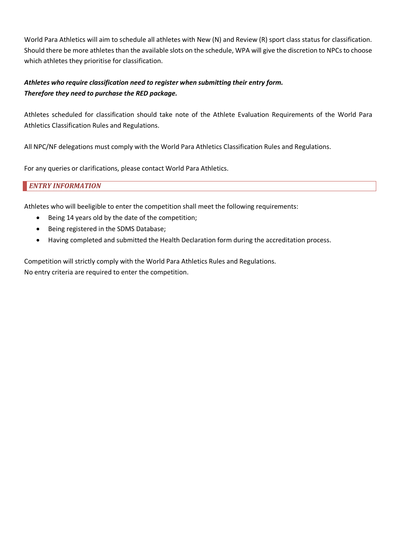World Para Athletics will aim to schedule all athletes with New (N) and Review (R) sport class status for classification. Should there be more athletes than the available slots on the schedule, WPA will give the discretion to NPCs to choose which athletes they prioritise for classification.

## *Athletes who require classification need to register when submitting their entry form. Therefore they need to purchase the RED package.*

Athletes scheduled for classification should take note of the Athlete Evaluation Requirements of the World Para Athletics Classification Rules and Regulations.

All NPC/NF delegations must comply with the World Para Athletics Classification Rules and Regulations.

For any queries or clarifications, please contact World Para Athletics.

**ENTRY INFORMATION** 

Athletes who will beeligible to enter the competition shall meet the following requirements:

- Being 14 years old by the date of the competition;
- Being registered in the SDMS Database;
- Having completed and submitted the Health Declaration form during the accreditation process.

Competition will strictly comply with the World Para Athletics Rules and Regulations. No entry criteria are required to enter the competition.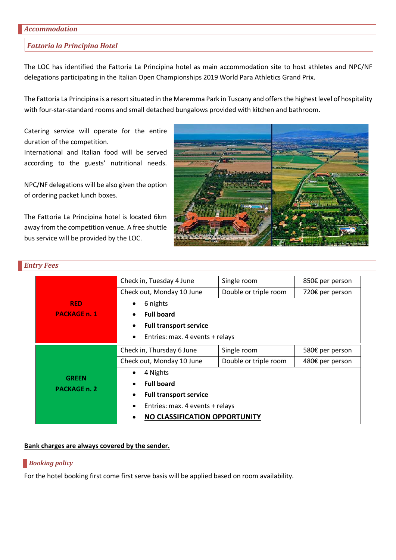#### *Accommodation*

#### *Fattoria la Principina Hotel*

The LOC has identified the Fattoria La Principina hotel as main accommodation site to host athletes and NPC/NF delegations participating in the Italian Open Championships 2019 World Para Athletics Grand Prix.

The Fattoria La Principina is a resort situated in the Maremma Park in Tuscany and offers the highest level of hospitality with four-star-standard rooms and small detached bungalows provided with kitchen and bathroom.

Catering service will operate for the entire duration of the competition.

International and Italian food will be served according to the guests' nutritional needs.

NPC/NF delegations will be also given the option of ordering packet lunch boxes.

The Fattoria La Principina hotel is located 6km away from the competition venue. A free shuttle bus service will be provided by the LOC.



|                                     | Check in, Tuesday 4 June                     | Single room           | 850€ per person |  |
|-------------------------------------|----------------------------------------------|-----------------------|-----------------|--|
| <b>RED</b>                          | Check out, Monday 10 June                    | Double or triple room | 720€ per person |  |
|                                     | 6 nights<br>٠                                |                       |                 |  |
| <b>PACKAGE n. 1</b>                 | <b>Full board</b><br>$\bullet$               |                       |                 |  |
|                                     | <b>Full transport service</b><br>$\bullet$   |                       |                 |  |
|                                     | Entries: max. 4 events + relays<br>$\bullet$ |                       |                 |  |
|                                     | Check in, Thursday 6 June                    | Single room           | 580€ per person |  |
|                                     | Check out, Monday 10 June                    | Double or triple room | 480€ per person |  |
|                                     | 4 Nights<br>$\bullet$                        |                       |                 |  |
| <b>GREEN</b><br><b>PACKAGE n. 2</b> | <b>Full board</b><br>$\bullet$               |                       |                 |  |
|                                     | <b>Full transport service</b><br>$\bullet$   |                       |                 |  |
|                                     | Entries: max. 4 events + relays<br>$\bullet$ |                       |                 |  |
|                                     | NO CLASSIFICATION OPPORTUNITY<br>$\bullet$   |                       |                 |  |

## **Bank charges are always covered by the sender.**

#### *Booking policy*

For the hotel booking first come first serve basis will be applied based on room availability.

## *Entry Fees*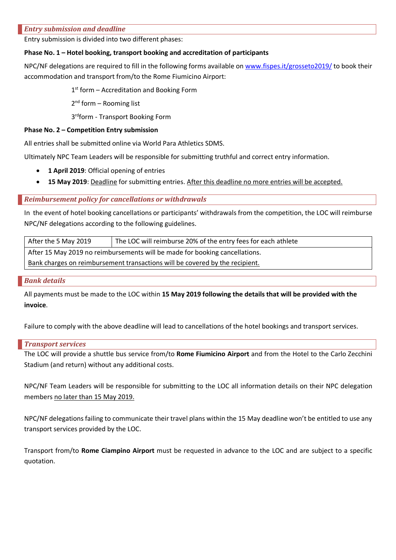### *Entry submission and deadline*

Entry submission is divided into two different phases:

### **Phase No. 1 – Hotel booking, transport booking and accreditation of participants**

NPC/NF delegations are required to fill in the following forms available on www.fispes.it/grosseto2019/ to book their accommodation and transport from/to the Rome Fiumicino Airport:

 $1<sup>st</sup>$  form – Accreditation and Booking Form

 $2<sup>nd</sup>$  form – Rooming list

3rdform - Transport Booking Form

### **Phase No. 2 – Competition Entry submission**

All entries shall be submitted online via World Para Athletics SDMS.

Ultimately NPC Team Leaders will be responsible for submitting truthful and correct entry information.

- **1 April 2019**: Official opening of entries
- **15 May 2019**: Deadline for submitting entries. After this deadline no more entries will be accepted.

### **Reimbursement policy for cancellations or withdrawals**

In the event of hotel booking cancellations or participants' withdrawals from the competition, the LOC will reimburse NPC/NF delegations according to the following guidelines.

| After the 5 May 2019                                                         | The LOC will reimburse 20% of the entry fees for each athlete |  |
|------------------------------------------------------------------------------|---------------------------------------------------------------|--|
| After 15 May 2019 no reimbursements will be made for booking cancellations.  |                                                               |  |
| Bank charges on reimbursement transactions will be covered by the recipient. |                                                               |  |

### *Bank details*

All payments must be made to the LOC within **15 May 2019 following the details that will be provided with the invoice**.

Failure to comply with the above deadline will lead to cancellations of the hotel bookings and transport services.

### *Transport services*

The LOC will provide a shuttle bus service from/to **Rome Fiumicino Airport** and from the Hotel to the Carlo Zecchini Stadium (and return) without any additional costs.

NPC/NF Team Leaders will be responsible for submitting to the LOC all information details on their NPC delegation members no later than 15 May 2019.

NPC/NF delegations failing to communicate their travel plans within the 15 May deadline won't be entitled to use any transport services provided by the LOC.

Transport from/to **Rome Ciampino Airport** must be requested in advance to the LOC and are subject to a specific quotation.